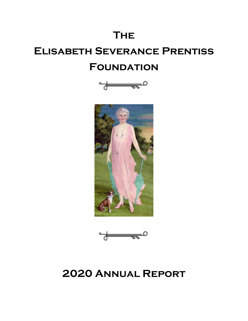# **The**

# **Elisabeth Severance Prentiss FOUNDATION**







# **2020 Annual Report**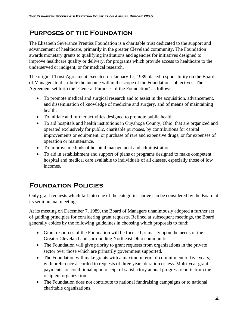### **Purposes of the Foundation**

The Elisabeth Severance Prentiss Foundation is a charitable trust dedicated to the support and advancement of healthcare, primarily in the greater Cleveland community. The Foundation awards monetary grants to qualifying institutions and agencies for initiatives designed to improve healthcare quality or delivery, for programs which provide access to healthcare to the underserved or indigent, or for medical research.

The original Trust Agreement executed on January 17, 1939 placed responsibility on the Board of Managers to distribute the income within the scope of the Foundation's objectives. The Agreement set forth the "General Purposes of the Foundation" as follows:

- To promote medical and surgical research and to assist in the acquisition, advancement, and dissemination of knowledge of medicine and surgery, and of means of maintaining health.
- To initiate and further activities designed to promote public health.
- To aid hospitals and health institutions in Cuyahoga County, Ohio, that are organized and operated exclusively for public, charitable purposes, by contributions for capital improvements or equipment, or purchase of rare and expensive drugs, or for expenses of operation or maintenance.
- To improve methods of hospital management and administration.
- To aid in establishment and support of plans or programs designed to make competent hospital and medical care available to individuals of all classes, especially those of low incomes.

# **Foundation Policies**

Only grant requests which fall into one of the categories above can be considered by the Board at its semi-annual meetings.

At its meeting on December 7, 1989, the Board of Managers unanimously adopted a further set of guiding principles for considering grant requests. Refined at subsequent meetings, the Board generally abides by the following guidelines in choosing which proposals to fund:

- Grant resources of the Foundation will be focused primarily upon the needs of the Greater Cleveland and surrounding Northeast Ohio communities.
- The Foundation will give priority to grant requests from organizations in the private sector over those which are primarily government supported.
- The Foundation will make grants with a maximum term of commitment of five years, with preference accorded to requests of three years duration or less. Multi-year grant payments are conditional upon receipt of satisfactory annual progress reports from the recipient organization.
- The Foundation does not contribute to national fundraising campaigns or to national charitable organizations.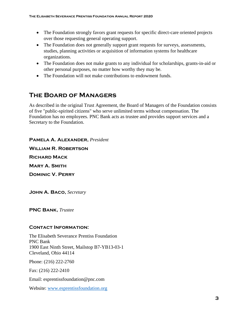- The Foundation strongly favors grant requests for specific direct-care oriented projects over those requesting general operating support.
- The Foundation does not generally support grant requests for surveys, assessments, studies, planning activities or acquisition of information systems for healthcare organizations.
- The Foundation does not make grants to any individual for scholarships, grants-in-aid or other personal purposes, no matter how worthy they may be.
- The Foundation will not make contributions to endowment funds.

# **The Board of Managers**

As described in the original Trust Agreement, the Board of Managers of the Foundation consists of five "public-spirited citizens" who serve unlimited terms without compensation. The Foundation has no employees. PNC Bank acts as trustee and provides support services and a Secretary to the Foundation.

**Pamela A. Alexander,** *President* **William R. Robertson Richard Mack Mary A. Smith Dominic V. Perry** 

**John A. Baco,** *Secretary*

**PNC Bank,** *Trustee*

#### **Contact Information:**

The Elisabeth Severance Prentiss Foundation PNC Bank 1900 East Ninth Street, Mailstop B7-YB13-03-1 Cleveland, Ohio 44114

Phone: (216) 222-2760

Fax: (216) 222-2410

Email: esprentissfoundation@pnc.com

Website: [www.esprentissfoundation.org](http://www.esprentissfoundation.org/)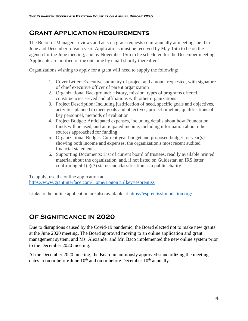### **Grant Application Requirements**

The Board of Managers reviews and acts on grant requests semi-annually at meetings held in June and December of each year. Applications must be received by May 15th to be on the agenda for the June meeting, and by November 15th to be scheduled for the December meeting. Applicants are notified of the outcome by email shortly thereafter.

Organizations wishing to apply for a grant will need to supply the following:

- 1. Cover Letter: Executive summary of project and amount requested, with signature of chief executive officer of parent organization
- 2. Organizational Background: History, mission, types of programs offered, constituencies served and affiliations with other organizations
- 3. Project Description: Including justification of need, specific goals and objectives, activities planned to meet goals and objectives, project timeline, qualifications of key personnel, methods of evaluation
- 4. Project Budget: Anticipated expenses, including details about how Foundation funds will be used, and anticipated income, including information about other sources approached for funding
- 5. Organizational Budget: Current year budget and proposed budget for year(s) showing both income and expenses, the organization's most recent audited financial statements
- 6. Supporting Documents: List of current board of trustees, readily available printed material about the organization, and, if not listed on Guidestar, an IRS letter confirming  $501(c)(3)$  status and classification as a public charity

To apply, use the online application at <https://www.grantinterface.com/Home/Logon?urlkey=esprentiss>

Links to the online application are also available at<https://esprentissfoundation.org/>

## **Of Significance in 2020**

Due to disruptions caused by the Covid-19 pandemic, the Board elected not to make new grants at the June 2020 meeting. The Board approved moving to an online application and grant management system, and Ms. Alexander and Mr. Baco implemented the new online system prior to the December 2020 meeting.

At the December 2020 meeting, the Board unanimously approved standardizing the meeting dates to on or before June  $10<sup>th</sup>$  and on or before December  $10<sup>th</sup>$  annually.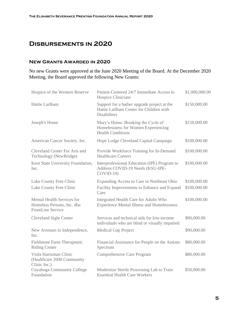### **Disbursements in 2020**

#### **New Grants Awarded in 2020**

No new Grants were approved at the June 2020 Meeting of the Board. At the December 2020 Meeting, the Board approved the following New Grants:

| Hospice of the Western Reserve                                                       | Patient-Centered 24/7 Immediate Access to<br><b>Hospice Clinicians</b>                                        | \$1,000,000.00 |
|--------------------------------------------------------------------------------------|---------------------------------------------------------------------------------------------------------------|----------------|
| Hattie Larlham                                                                       | Support for a bather upgrade project at the<br>Hattie Larlham Center for Children with<br><b>Disabilities</b> | \$150,000.00   |
| Joseph's Home                                                                        | Mary's Home: Breaking the Cycle of<br>Homelessness for Women Experiencing<br><b>Health Conditions</b>         | \$150,000.00   |
| American Cancer Society, Inc.                                                        | Hope Lodge Cleveland Capital Campaign                                                                         | \$100,000.00   |
| Cleveland Center For Arts and<br>Technology (NewBridge)                              | Provide Workforce Training for In-Demand<br><b>Healthcare Careers</b>                                         | \$100,000.00   |
| Kent State University Foundation,<br>Inc.                                            | Interprofessional Education (IPE) Program to<br>Address COVID-19 Needs (KSU-IPE-<br>$COVID-19$                | \$100,000.00   |
| Lake County Free Clinic                                                              | Expanding Access to Care in Northeast Ohio                                                                    | \$100,000.00   |
| Lake County Free Clinic                                                              | Facility Improvements to Enhance and Expand<br>Care                                                           | \$100,000.00   |
| Mental Health Services for<br>Homeless Persons, Inc. dba<br><b>FrontLine Service</b> | Integrated Health Care for Adults Who<br><b>Experience Mental Illness and Homelessness</b>                    | \$100,000.00   |
| <b>Cleveland Sight Center</b>                                                        | Services and technical aids for low-income<br>individuals who are blind or visually impaired                  | \$90,000.00    |
| New Avenues to Independence,<br>Inc.                                                 | Medical Gap Project                                                                                           | \$90,000.00    |
| Fieldstone Farm Therapeutic<br><b>Riding Center</b>                                  | Financial Assistance for People on the Autism<br>Spectrum                                                     | \$80,000.00    |
| Viola Startzman Clinic<br>(Healthcare 2000 Community<br>Clinic Inc.)                 | Comprehensive Care Program                                                                                    | \$80,000.00    |
| Cuyahoga Community College<br>Foundation                                             | Modernize Sterile Processing Lab to Train<br><b>Essential Health Care Workers</b>                             | \$50,000.00    |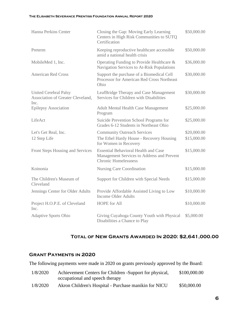#### **The Elisabeth Severance Prentiss Foundation Annual Report 2020**

| Hanna Perkins Center                                                      | Closing the Gap: Moving Early Learning<br>Centers in High Risk Communities to SUTQ<br>Certification                      | \$50,000.00 |
|---------------------------------------------------------------------------|--------------------------------------------------------------------------------------------------------------------------|-------------|
| Preterm                                                                   | Keeping reproductive healthcare accessible<br>amid a national health crisis                                              | \$50,000.00 |
| MobileMed 1, Inc.                                                         | Operating Funding to Provide Healthcare &<br>Navigation Services to At-Risk Populations                                  | \$36,000.00 |
| <b>American Red Cross</b>                                                 | Support the purchase of a Biomedical Cell<br>Processor for American Red Cross Northeast<br>Ohio                          | \$30,000.00 |
| <b>United Cerebral Palsy</b><br>Association of Greater Cleveland,<br>Inc. | LeafBridge Therapy and Case Management<br>Services for Children with Disabilities                                        | \$30,000.00 |
| <b>Epilepsy Association</b>                                               | <b>Adult Mental Health Case Management</b><br>Program                                                                    | \$25,000.00 |
| LifeAct                                                                   | Suicide Prevention School Programs for<br>Grades 6-12 Students in Northeast Ohio                                         | \$25,000.00 |
| Let's Get Real, Inc.                                                      | <b>Community Outreach Services</b>                                                                                       | \$20,000.00 |
| 12 Step Life                                                              | The Ethel Hardy House - Recovery Housing<br>for Women in Recovery                                                        | \$15,000.00 |
| Front Steps Housing and Services                                          | <b>Essential Behavioral Health and Case</b><br>Management Services to Address and Prevent<br><b>Chronic Homelessness</b> | \$15,000.00 |
| Koinonia                                                                  | <b>Nursing Care Coordination</b>                                                                                         | \$15,000.00 |
| The Children's Museum of<br>Cleveland                                     | Support for Children with Special Needs                                                                                  | \$15,000.00 |
| Jennings Center for Older Adults                                          | Provide Affordable Assisted Living to Low<br><b>Income Older Adults</b>                                                  | \$10,000.00 |
| Project H.O.P.E. of Cleveland<br>Inc.                                     | <b>HOPE</b> for All                                                                                                      | \$10,000.00 |
| <b>Adaptive Sports Ohio</b>                                               | Giving Cuyahoga County Youth with Physical<br>Disabilities a Chance to Play                                              | \$5,000.00  |

#### **Total of New Grants Awarded In 2020: \$2,641,000.00**

#### **Grant Payments in 2020**

The following payments were made in 2020 on grants previously approved by the Board:

| 1/8/2020 | Achievement Centers for Children -Support for physical, | \$100,000.00 |
|----------|---------------------------------------------------------|--------------|
|          | occupational and speech therapy                         |              |
| 1/8/2020 | Akron Children's Hospital - Purchase manikin for NICU   | \$50,000.00  |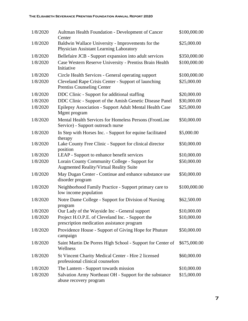| 1/8/2020 | Aultman Health Foundation - Development of Cancer<br>Center                                     | \$100,000.00 |
|----------|-------------------------------------------------------------------------------------------------|--------------|
| 1/8/2020 | Baldwin Wallace University - Improvements for the<br>Physician Assistant Learning Laboratory    | \$25,000.00  |
| 1/8/2020 | Bellefaire JCB - Support expansion into adult services                                          | \$350,000.00 |
| 1/8/2020 | Case Western Reserve University - Prentiss Brain Health<br>Initiative                           | \$100,000.00 |
| 1/8/2020 | Circle Health Services - General operating support                                              | \$100,000.00 |
| 1/8/2020 | Cleveland Rape Crisis Center - Support of launching<br><b>Prentiss Counseling Center</b>        | \$25,000.00  |
| 1/8/2020 | DDC Clinic - Support for additional staffing                                                    | \$20,000.00  |
| 1/8/2020 | DDC Clinic - Support of the Amish Genetic Disease Panel                                         | \$30,000.00  |
| 1/8/2020 | Epilepsy Association - Support Adult Mental Health Case<br>Mgmt program                         | \$25,000.00  |
| 1/8/2020 | Mental Health Services for Homeless Persons (FrontLine<br>Service) - Support outreach nurse     | \$50,000.00  |
| 1/8/2020 | In Step with Horses Inc. - Support for equine facilitated<br>therapy                            | \$5,000.00   |
| 1/8/2020 | Lake County Free Clinic - Support for clinical director<br>position                             | \$50,000.00  |
| 1/8/2020 | LEAP - Support to enhance benefit services                                                      | \$10,000.00  |
| 1/8/2020 | Lorain County Community College - Support for<br><b>Augmented Reality/Virtual Reality Suite</b> | \$50,000.00  |
| 1/8/2020 | May Dugan Center - Continue and enhance substance use<br>disorder program                       | \$50,000.00  |
| 1/8/2020 | Neighborhood Family Practice - Support primary care to<br>low income population                 | \$100,000.00 |
| 1/8/2020 | Notre Dame College - Support for Division of Nursing<br>program                                 | \$62,500.00  |
| 1/8/2020 | Our Lady of the Wayside Inc - General support                                                   | \$10,000.00  |
| 1/8/2020 | Project H.O.P.E. of Cleveland Inc. - Support the<br>prescription medication assistance program  | \$10,000.00  |
| 1/8/2020 | Providence House - Support of Giving Hope for Phuture<br>campaign                               | \$50,000.00  |
| 1/8/2020 | Saint Martin De Porres High School - Support for Center of<br>Wellness                          | \$675,000.00 |
| 1/8/2020 | St Vincent Charity Medical Center - Hire 2 licensed<br>professional clinical counselors         | \$60,000.00  |
| 1/8/2020 | The Lantern - Support towards mission                                                           | \$10,000.00  |
| 1/8/2020 | Salvation Army Northeast OH - Support for the substance<br>abuse recovery program               | \$15,000.00  |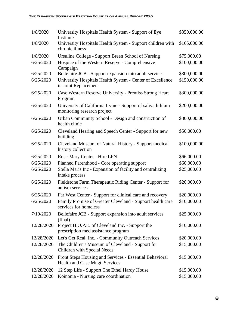| 1/8/2020   | University Hospitals Health System - Support of Eye<br>Institute                           | \$350,000.00 |
|------------|--------------------------------------------------------------------------------------------|--------------|
| 1/8/2020   | University Hospitals Health System - Support children with<br>chronic illness              | \$165,000.00 |
| 1/8/2020   | Ursuline College - Support Breen School of Nursing                                         | \$75,000.00  |
| 6/25/2020  | Hospice of the Western Reserve - Comprehensive<br>Campaign                                 | \$100,000.00 |
| 6/25/2020  | Bellefaire JCB - Support expansion into adult services                                     | \$300,000.00 |
| 6/25/2020  | University Hospitals Health System - Center of Excellence<br>in Joint Replacement          | \$150,000.00 |
| 6/25/2020  | Case Western Reserve University - Prentiss Strong Heart<br>Program                         | \$300,000.00 |
| 6/25/2020  | University of California Irvine - Support of saliva lithium<br>monitoring research project | \$200,000.00 |
| 6/25/2020  | Urban Community School - Design and construction of<br>health clinic                       | \$300,000.00 |
| 6/25/2020  | Cleveland Hearing and Speech Center - Support for new<br>building                          | \$50,000.00  |
| 6/25/2020  | Cleveland Museum of Natural History - Support medical<br>history collection                | \$100,000.00 |
| 6/25/2020  | Rose-Mary Center - Hire LPN                                                                | \$66,000.00  |
| 6/25/2020  | Planned Parenthood - Core operating support                                                | \$60,000.00  |
| 6/25/2020  | Stella Maris Inc - Expansion of facility and centralizing<br>intake process                | \$25,000.00  |
| 6/25/2020  | Fieldstone Farm Therapeutic Riding Center - Support for<br>autism services                 | \$20,000.00  |
| 6/25/2020  | Far West Center - Support for clinical care and recovery                                   | \$20,000.00  |
| 6/25/2020  | Family Promise of Greater Cleveland - Support health care<br>services for homeless         | \$10,000.00  |
| 7/10/2020  | Bellefaire JCB - Support expansion into adult services<br>(final)                          | \$25,000.00  |
| 12/28/2020 | Project H.O.P.E. of Cleveland Inc. - Support the<br>prescription med assistance program    | \$10,000.00  |
| 12/28/2020 | Let's Get Real, Inc. - Community Outreach Services                                         | \$20,000.00  |
| 12/28/2020 | The Children's Museum of Cleveland - Support for<br>Children with Special Needs            | \$15,000.00  |
| 12/28/2020 | Front Steps Housing and Services - Essential Behavioral<br>Health and Case Mngt. Services  | \$15,000.00  |
| 12/28/2020 | 12 Step Life - Support The Ethel Hardy House                                               | \$15,000.00  |
| 12/28/2020 | Koinonia - Nursing care coordination                                                       | \$15,000.00  |